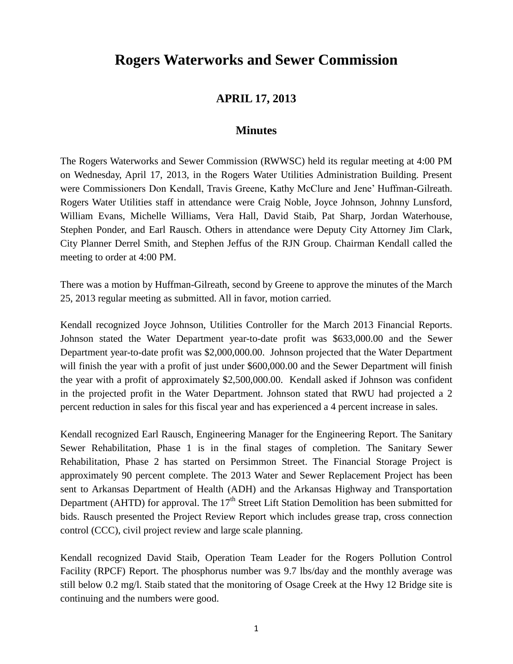## **Rogers Waterworks and Sewer Commission**

## **APRIL 17, 2013**

## **Minutes**

The Rogers Waterworks and Sewer Commission (RWWSC) held its regular meeting at 4:00 PM on Wednesday, April 17, 2013, in the Rogers Water Utilities Administration Building. Present were Commissioners Don Kendall, Travis Greene, Kathy McClure and Jene' Huffman-Gilreath. Rogers Water Utilities staff in attendance were Craig Noble, Joyce Johnson, Johnny Lunsford, William Evans, Michelle Williams, Vera Hall, David Staib, Pat Sharp, Jordan Waterhouse, Stephen Ponder, and Earl Rausch. Others in attendance were Deputy City Attorney Jim Clark, City Planner Derrel Smith, and Stephen Jeffus of the RJN Group. Chairman Kendall called the meeting to order at 4:00 PM.

There was a motion by Huffman-Gilreath, second by Greene to approve the minutes of the March 25, 2013 regular meeting as submitted. All in favor, motion carried.

Kendall recognized Joyce Johnson, Utilities Controller for the March 2013 Financial Reports. Johnson stated the Water Department year-to-date profit was \$633,000.00 and the Sewer Department year-to-date profit was \$2,000,000.00. Johnson projected that the Water Department will finish the year with a profit of just under \$600,000.00 and the Sewer Department will finish the year with a profit of approximately \$2,500,000.00. Kendall asked if Johnson was confident in the projected profit in the Water Department. Johnson stated that RWU had projected a 2 percent reduction in sales for this fiscal year and has experienced a 4 percent increase in sales.

Kendall recognized Earl Rausch, Engineering Manager for the Engineering Report. The Sanitary Sewer Rehabilitation, Phase 1 is in the final stages of completion. The Sanitary Sewer Rehabilitation, Phase 2 has started on Persimmon Street. The Financial Storage Project is approximately 90 percent complete. The 2013 Water and Sewer Replacement Project has been sent to Arkansas Department of Health (ADH) and the Arkansas Highway and Transportation Department (AHTD) for approval. The  $17<sup>th</sup>$  Street Lift Station Demolition has been submitted for bids. Rausch presented the Project Review Report which includes grease trap, cross connection control (CCC), civil project review and large scale planning.

Kendall recognized David Staib, Operation Team Leader for the Rogers Pollution Control Facility (RPCF) Report. The phosphorus number was 9.7 lbs/day and the monthly average was still below 0.2 mg/l. Staib stated that the monitoring of Osage Creek at the Hwy 12 Bridge site is continuing and the numbers were good.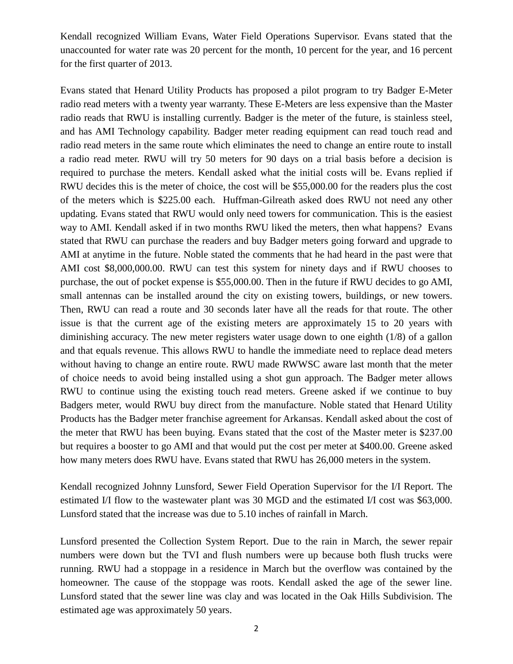Kendall recognized William Evans, Water Field Operations Supervisor. Evans stated that the unaccounted for water rate was 20 percent for the month, 10 percent for the year, and 16 percent for the first quarter of 2013.

Evans stated that Henard Utility Products has proposed a pilot program to try Badger E-Meter radio read meters with a twenty year warranty. These E-Meters are less expensive than the Master radio reads that RWU is installing currently. Badger is the meter of the future, is stainless steel, and has AMI Technology capability. Badger meter reading equipment can read touch read and radio read meters in the same route which eliminates the need to change an entire route to install a radio read meter. RWU will try 50 meters for 90 days on a trial basis before a decision is required to purchase the meters. Kendall asked what the initial costs will be. Evans replied if RWU decides this is the meter of choice, the cost will be \$55,000.00 for the readers plus the cost of the meters which is \$225.00 each. Huffman-Gilreath asked does RWU not need any other updating. Evans stated that RWU would only need towers for communication. This is the easiest way to AMI. Kendall asked if in two months RWU liked the meters, then what happens? Evans stated that RWU can purchase the readers and buy Badger meters going forward and upgrade to AMI at anytime in the future. Noble stated the comments that he had heard in the past were that AMI cost \$8,000,000.00. RWU can test this system for ninety days and if RWU chooses to purchase, the out of pocket expense is \$55,000.00. Then in the future if RWU decides to go AMI, small antennas can be installed around the city on existing towers, buildings, or new towers. Then, RWU can read a route and 30 seconds later have all the reads for that route. The other issue is that the current age of the existing meters are approximately 15 to 20 years with diminishing accuracy. The new meter registers water usage down to one eighth (1/8) of a gallon and that equals revenue. This allows RWU to handle the immediate need to replace dead meters without having to change an entire route. RWU made RWWSC aware last month that the meter of choice needs to avoid being installed using a shot gun approach. The Badger meter allows RWU to continue using the existing touch read meters. Greene asked if we continue to buy Badgers meter, would RWU buy direct from the manufacture. Noble stated that Henard Utility Products has the Badger meter franchise agreement for Arkansas. Kendall asked about the cost of the meter that RWU has been buying. Evans stated that the cost of the Master meter is \$237.00 but requires a booster to go AMI and that would put the cost per meter at \$400.00. Greene asked how many meters does RWU have. Evans stated that RWU has 26,000 meters in the system.

Kendall recognized Johnny Lunsford, Sewer Field Operation Supervisor for the I/I Report. The estimated I/I flow to the wastewater plant was 30 MGD and the estimated I/I cost was \$63,000. Lunsford stated that the increase was due to 5.10 inches of rainfall in March.

Lunsford presented the Collection System Report. Due to the rain in March, the sewer repair numbers were down but the TVI and flush numbers were up because both flush trucks were running. RWU had a stoppage in a residence in March but the overflow was contained by the homeowner. The cause of the stoppage was roots. Kendall asked the age of the sewer line. Lunsford stated that the sewer line was clay and was located in the Oak Hills Subdivision. The estimated age was approximately 50 years.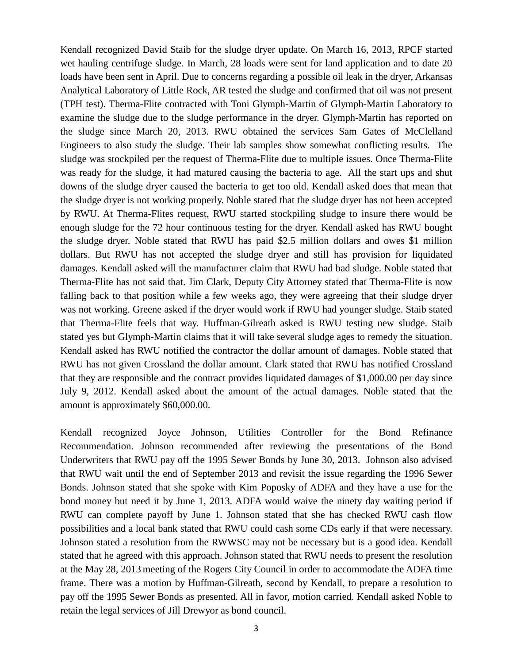Kendall recognized David Staib for the sludge dryer update. On March 16, 2013, RPCF started wet hauling centrifuge sludge. In March, 28 loads were sent for land application and to date 20 loads have been sent in April. Due to concerns regarding a possible oil leak in the dryer, Arkansas Analytical Laboratory of Little Rock, AR tested the sludge and confirmed that oil was not present (TPH test). Therma-Flite contracted with Toni Glymph-Martin of Glymph-Martin Laboratory to examine the sludge due to the sludge performance in the dryer. Glymph-Martin has reported on the sludge since March 20, 2013. RWU obtained the services Sam Gates of McClelland Engineers to also study the sludge. Their lab samples show somewhat conflicting results. The sludge was stockpiled per the request of Therma-Flite due to multiple issues. Once Therma-Flite was ready for the sludge, it had matured causing the bacteria to age. All the start ups and shut downs of the sludge dryer caused the bacteria to get too old. Kendall asked does that mean that the sludge dryer is not working properly. Noble stated that the sludge dryer has not been accepted by RWU. At Therma-Flites request, RWU started stockpiling sludge to insure there would be enough sludge for the 72 hour continuous testing for the dryer. Kendall asked has RWU bought the sludge dryer. Noble stated that RWU has paid \$2.5 million dollars and owes \$1 million dollars. But RWU has not accepted the sludge dryer and still has provision for liquidated damages. Kendall asked will the manufacturer claim that RWU had bad sludge. Noble stated that Therma-Flite has not said that. Jim Clark, Deputy City Attorney stated that Therma-Flite is now falling back to that position while a few weeks ago, they were agreeing that their sludge dryer was not working. Greene asked if the dryer would work if RWU had younger sludge. Staib stated that Therma-Flite feels that way. Huffman-Gilreath asked is RWU testing new sludge. Staib stated yes but Glymph-Martin claims that it will take several sludge ages to remedy the situation. Kendall asked has RWU notified the contractor the dollar amount of damages. Noble stated that RWU has not given Crossland the dollar amount. Clark stated that RWU has notified Crossland that they are responsible and the contract provides liquidated damages of \$1,000.00 per day since July 9, 2012. Kendall asked about the amount of the actual damages. Noble stated that the amount is approximately \$60,000.00.

Kendall recognized Joyce Johnson, Utilities Controller for the Bond Refinance Recommendation. Johnson recommended after reviewing the presentations of the Bond Underwriters that RWU pay off the 1995 Sewer Bonds by June 30, 2013. Johnson also advised that RWU wait until the end of September 2013 and revisit the issue regarding the 1996 Sewer Bonds. Johnson stated that she spoke with Kim Poposky of ADFA and they have a use for the bond money but need it by June 1, 2013. ADFA would waive the ninety day waiting period if RWU can complete payoff by June 1. Johnson stated that she has checked RWU cash flow possibilities and a local bank stated that RWU could cash some CDs early if that were necessary. Johnson stated a resolution from the RWWSC may not be necessary but is a good idea. Kendall stated that he agreed with this approach. Johnson stated that RWU needs to present the resolution at the May 28, 2013 meeting of the Rogers City Council in order to accommodate the ADFA time frame. There was a motion by Huffman-Gilreath, second by Kendall, to prepare a resolution to pay off the 1995 Sewer Bonds as presented. All in favor, motion carried. Kendall asked Noble to retain the legal services of Jill Drewyor as bond council.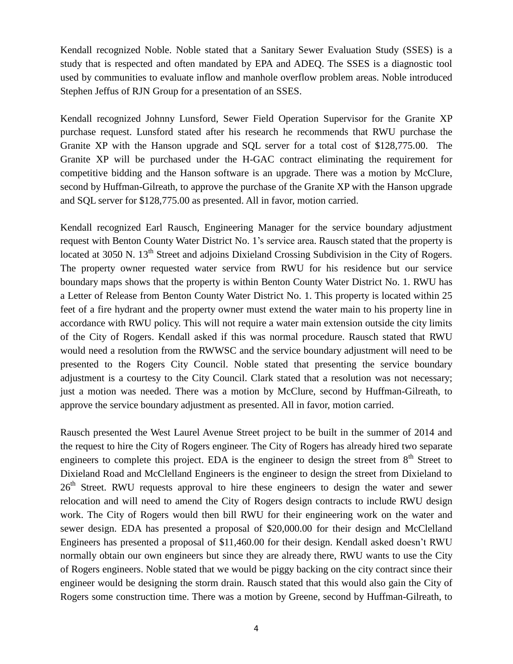Kendall recognized Noble. Noble stated that a Sanitary Sewer Evaluation Study (SSES) is a study that is respected and often mandated by EPA and ADEQ. The SSES is a diagnostic tool used by communities to evaluate inflow and manhole overflow problem areas. Noble introduced Stephen Jeffus of RJN Group for a presentation of an SSES.

Kendall recognized Johnny Lunsford, Sewer Field Operation Supervisor for the Granite XP purchase request. Lunsford stated after his research he recommends that RWU purchase the Granite XP with the Hanson upgrade and SQL server for a total cost of \$128,775.00. The Granite XP will be purchased under the H-GAC contract eliminating the requirement for competitive bidding and the Hanson software is an upgrade. There was a motion by McClure, second by Huffman-Gilreath, to approve the purchase of the Granite XP with the Hanson upgrade and SQL server for \$128,775.00 as presented. All in favor, motion carried.

Kendall recognized Earl Rausch, Engineering Manager for the service boundary adjustment request with Benton County Water District No. 1's service area. Rausch stated that the property is located at 3050 N. 13<sup>th</sup> Street and adjoins Dixieland Crossing Subdivision in the City of Rogers. The property owner requested water service from RWU for his residence but our service boundary maps shows that the property is within Benton County Water District No. 1. RWU has a Letter of Release from Benton County Water District No. 1. This property is located within 25 feet of a fire hydrant and the property owner must extend the water main to his property line in accordance with RWU policy. This will not require a water main extension outside the city limits of the City of Rogers. Kendall asked if this was normal procedure. Rausch stated that RWU would need a resolution from the RWWSC and the service boundary adjustment will need to be presented to the Rogers City Council. Noble stated that presenting the service boundary adjustment is a courtesy to the City Council. Clark stated that a resolution was not necessary; just a motion was needed. There was a motion by McClure, second by Huffman-Gilreath, to approve the service boundary adjustment as presented. All in favor, motion carried.

Rausch presented the West Laurel Avenue Street project to be built in the summer of 2014 and the request to hire the City of Rogers engineer. The City of Rogers has already hired two separate engineers to complete this project. EDA is the engineer to design the street from  $8<sup>th</sup>$  Street to Dixieland Road and McClelland Engineers is the engineer to design the street from Dixieland to  $26<sup>th</sup>$  Street. RWU requests approval to hire these engineers to design the water and sewer relocation and will need to amend the City of Rogers design contracts to include RWU design work. The City of Rogers would then bill RWU for their engineering work on the water and sewer design. EDA has presented a proposal of \$20,000.00 for their design and McClelland Engineers has presented a proposal of \$11,460.00 for their design. Kendall asked doesn't RWU normally obtain our own engineers but since they are already there, RWU wants to use the City of Rogers engineers. Noble stated that we would be piggy backing on the city contract since their engineer would be designing the storm drain. Rausch stated that this would also gain the City of Rogers some construction time. There was a motion by Greene, second by Huffman-Gilreath, to